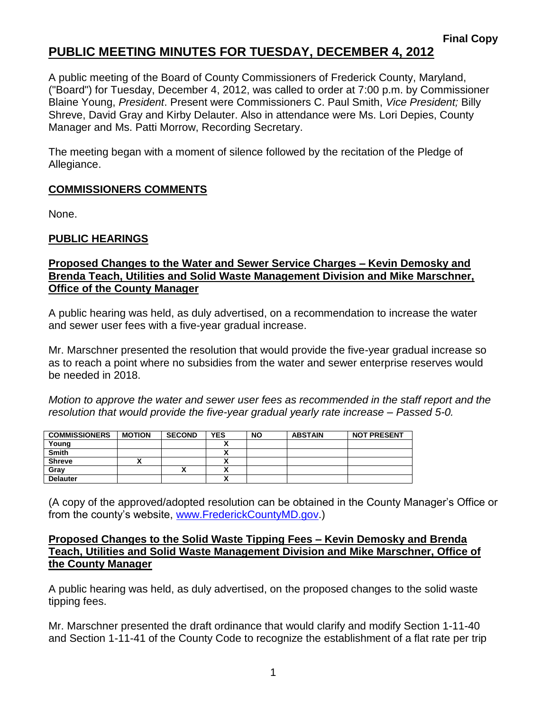## **PUBLIC MEETING MINUTES FOR TUESDAY, DECEMBER 4, 2012**

A public meeting of the Board of County Commissioners of Frederick County, Maryland, ("Board") for Tuesday, December 4, 2012, was called to order at 7:00 p.m. by Commissioner Blaine Young, *President*. Present were Commissioners C. Paul Smith, *Vice President;* Billy Shreve, David Gray and Kirby Delauter. Also in attendance were Ms. Lori Depies, County Manager and Ms. Patti Morrow, Recording Secretary.

The meeting began with a moment of silence followed by the recitation of the Pledge of Allegiance.

## **COMMISSIONERS COMMENTS**

None.

## **PUBLIC HEARINGS**

## **Proposed Changes to the Water and Sewer Service Charges – Kevin Demosky and Brenda Teach, Utilities and Solid Waste Management Division and Mike Marschner, Office of the County Manager**

A public hearing was held, as duly advertised, on a recommendation to increase the water and sewer user fees with a five-year gradual increase.

Mr. Marschner presented the resolution that would provide the five-year gradual increase so as to reach a point where no subsidies from the water and sewer enterprise reserves would be needed in 2018.

*Motion to approve the water and sewer user fees as recommended in the staff report and the resolution that would provide the five-year gradual yearly rate increase – Passed 5-0.*

| <b>COMMISSIONERS</b> | <b>MOTION</b> | <b>SECOND</b> | <b>YES</b> | <b>NO</b> | <b>ABSTAIN</b> | <b>NOT PRESENT</b> |
|----------------------|---------------|---------------|------------|-----------|----------------|--------------------|
| Young                |               |               |            |           |                |                    |
| <b>Smith</b>         |               |               |            |           |                |                    |
| <b>Shreve</b>        | ~             |               | ,,         |           |                |                    |
| Grav                 |               |               |            |           |                |                    |
| <b>Delauter</b>      |               |               |            |           |                |                    |

(A copy of the approved/adopted resolution can be obtained in the County Manager's Office or from the county's website, [www.FrederickCountyMD.gov.](http://www.frederickcountymd.gov/))

#### **Proposed Changes to the Solid Waste Tipping Fees – Kevin Demosky and Brenda Teach, Utilities and Solid Waste Management Division and Mike Marschner, Office of the County Manager**

A public hearing was held, as duly advertised, on the proposed changes to the solid waste tipping fees.

Mr. Marschner presented the draft ordinance that would clarify and modify Section 1-11-40 and Section 1-11-41 of the County Code to recognize the establishment of a flat rate per trip